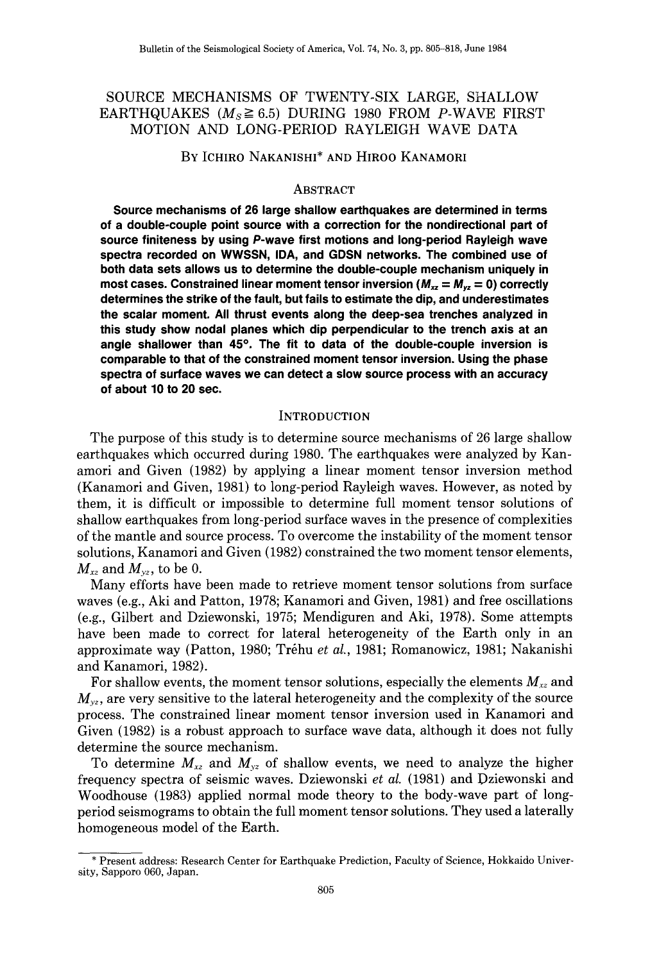# SOURCE MECHANISMS OF TWENTY-SIX LARGE, SHALLOW EARTHQUAKES ( $M_s \ge 6.5$ ) DURING 1980 FROM P-WAVE FIRST MOTION AND LONG-PERIOD RAYLEIGH WAVE DATA

## BY ICHIRO NAKANISHI\* AND HIROO KANAMORI

### ABSTRACT

**Source mechanisms of 26 large shallow earthquakes are determined in terms of a double-couple point source with a correction for the nondirectional part of source finiteness by using P-wave first motions and long-period Rayleigh wave spectra recorded on WWSSN, IDA, and GDSN networks. The combined use of both data sets allows us to determine the double-couple mechanism uniquely in most cases. Constrained linear moment tensor inversion**  $(M_{xz} = M_{yz} = 0)$  **correctly determines the strike of the fault, but fails to estimate the dip, and underestimates the scalar moment. All thrust events along the deep-sea trenches analyzed in this study show nodal planes which dip perpendicular to the trench axis at an angle shallower than 45°. The fit to data of the double-couple inversion is comparable to that of the constrained moment tensor inversion. Using the phase spectra of surface waves we can detect a slow source process with an accuracy of about 10 to 20 sec.** 

#### **INTRODUCTION**

The purpose of this study is to determine source mechanisms of 26 large shallow earthquakes which occurred during 1980. The earthquakes were analyzed by Kanamori and Given (1982) by applying a linear moment tensor inversion method (Kanamori and Given, 1981) to long-period Rayleigh waves. However, as noted by them, it is difficult or impossible to determine full moment tensor solutions of shallow earthquakes from long-period surface waves in the presence of complexities of the mantle and source process. To overcome the instability of the moment tensor solutions, Kanamori and Given (1982) constrained the two moment tensor elements,  $M_{xz}$  and  $M_{yz}$ , to be 0.

Many efforts have been made to retrieve moment tensor solutions from surface waves (e.g., Aki and Patton, 1978; Kanamori and Given, 1981) and free oscillations (e.g., Gilbert and Dziewonski, 1975; Mendiguren and Aki, 1978). Some attempts have been made to correct for lateral heterogeneity of the Earth only in an approximate way (Patton, 1980; Trehu *et al.,* 1981; Romanowicz, 1981; Nakanishi and Kanamori, 1982).

For shallow events, the moment tensor solutions, especially the elements  $M_{xz}$  and  $M_{yz}$ , are very sensitive to the lateral heterogeneity and the complexity of the source process. The constrained linear moment tensor inversion used in Kanamori and Given (1982) is a robust approach to surface wave data, although it does not fully determine the source mechanism.

To determine  $M_{xz}$  and  $M_{yz}$  of shallow events, we need to analyze the higher frequency spectra of seismic waves. Dziewonski *et al.* (1981) and Dziewonski and Woodhouse (1983) applied normal mode theory to the body-wave part of longperiod seismograms to obtain the full moment tensor solutions. They used a laterally homogeneous model of the Earth.

<sup>\*</sup>Present address: Research Center for Earthquake Prediction, Faculty of Science, Hokkaido University, Sapporo 060, Japan.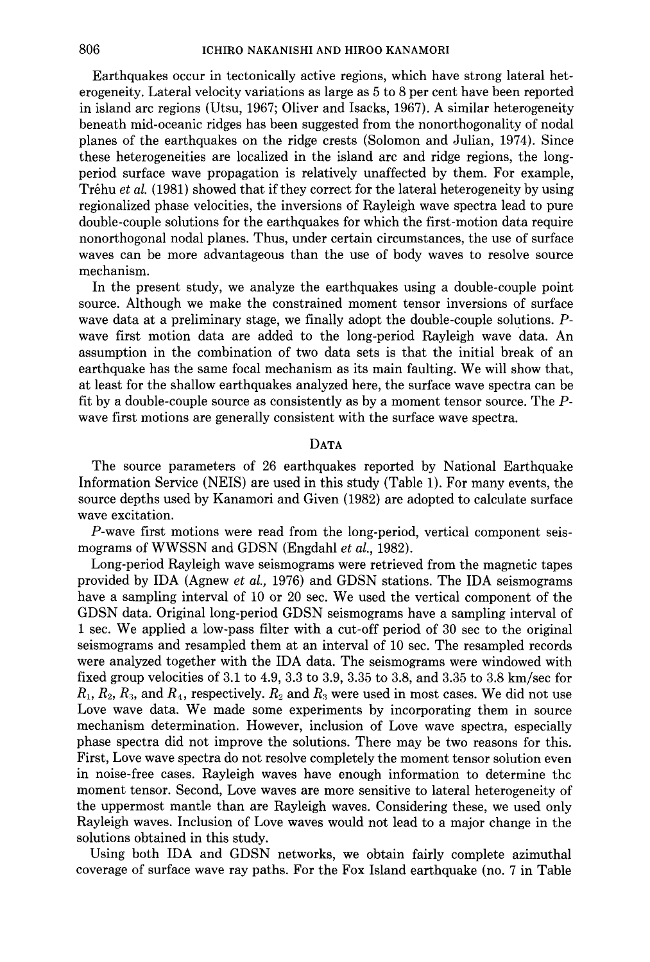Earthquakes occur in tectonically active regions, which have strong lateral heterogeneity. Lateral velocity variations as large as 5 to 8 per cent have been reported in island arc regions (Utsu, 1967; Oliver and Isacks, 1967). A similar heterogeneity beneath mid-oceanic ridges has been suggested from the nonorthogonality of nodal planes of the earthquakes on the ridge crests (Solomon and Julian, 1974). Since these heterogeneities are localized in the island arc and ridge regions, the longperiod surface wave propagation is relatively unaffected by them. For example, Trehu *et al.* (1981) showed that if they correct for the lateral heterogeneity by using regionalized phase velocities, the inversions of Rayleigh wave spectra lead to pure double-couple solutions for the earthquakes for which the first-motion data require nonorthogonal nodal planes. Thus, under certain circumstances, the use of surface waves can be more advantageous than the use of body waves to resolve source mechanism.

In the present study, we analyze the earthquakes using a double-couple point source. Although we make the constrained moment tensor inversions of surface wave data at a preliminary stage, we finally adopt the double-couple solutions. *P*wave first motion data are added to the long-period Rayleigh wave data. An assumption in the combination of two data sets is that the initial break of an earthquake has the same focal mechanism as its main faulting. We will show that, at least for the shallow earthquakes analyzed here, the surface wave spectra can be fit by a double-couple source as consistently as by a moment tensor source. The *P*wave first motions are generally consistent with the surface wave spectra.

## DATA

The source parameters of 26 earthquakes reported by National Earthquake Information Service (NElS) are used in this study (Table 1). For many events, the source depths used by Kanamori and Given (1982) are adopted to calculate surface wave excitation.

P-wave first motions were read from the long-period, vertical component seismograms of WWSSN and GDSN (Engdahl *et al.,* 1982).

Long-period Rayleigh wave seismograms were retrieved from the magnetic tapes provided by IDA (Agnew *et al.,* 1976) and GDSN stations. The IDA seismograms have a sampling interval of 10 or 20 sec. We used the vertical component of the GDSN data. Original long-period GDSN seismograms have a sampling interval of 1 sec. We applied a low-pass filter with a cut-off period of 30 sec to the original seismograms and resampled them at an interval of 10 sec. The resampled records were analyzed together with the IDA data. The seismograms were windowed with fixed group velocities of 3.1 to 4.9, 3.3 to 3.9, 3.35 to 3.8, and 3.35 to 3.8 km/sec for  $R_1, R_2, R_3$ , and  $R_4$ , respectively.  $R_2$  and  $R_3$  were used in most cases. We did not use Love wave data. We made some experiments by incorporating them in source mechanism determination. However, inclusion of Love wave spectra, especially phase spectra did not improve the solutions. There may be two reasons for this. First, Love wave spectra do not resolve completely the moment tensor solution even in noise-free cases. Rayleigh waves have enough information to determine the moment tensor. Second, Love waves are more sensitive to lateral heterogeneity of the uppermost mantle than are Rayleigh waves. Considering these, we used only Rayleigh waves. Inclusion of Love waves would not lead to a major change in the solutions obtained in this study.

Using both IDA and GDSN networks, we obtain fairly complete azimuthal coverage of surface wave ray paths. For the Fox Island earthquake (no. 7 in Table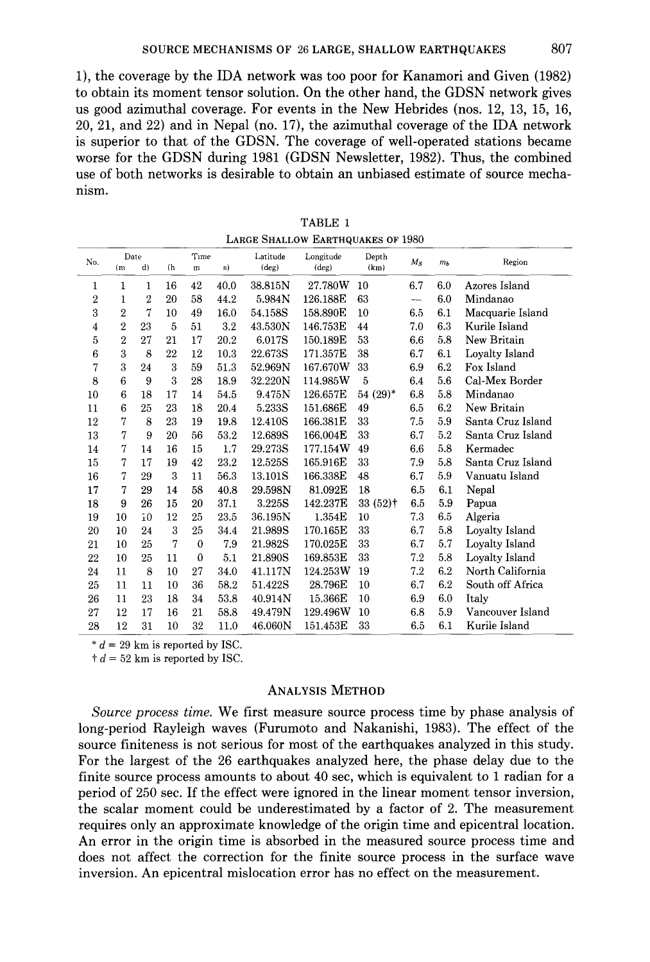1), the coverage by the IDA network was too poor for Kanamori and Given (1982) to obtain its moment tensor solution. On the other hand, the GDSN network gives us good azimuthal coverage. For events in the New Hebrides (nos. 12, 13, 15, 16, 20, 21, and 22) and in Nepal (no. 17), the azimuthal coverage of the IDA network is superior to that of the GDSN. The coverage of well-operated stations became worse for the GDSN during 1981 (GDSN Newsletter, 1982). Thus, the combined use of both networks is desirable to obtain an unbiased estimate of source mechanism.

| LANGE OHALLOW LANTHQUANES OF 1900 |                |              |     |              |         |                      |                             |                       |                          |       |                   |  |
|-----------------------------------|----------------|--------------|-----|--------------|---------|----------------------|-----------------------------|-----------------------|--------------------------|-------|-------------------|--|
| No.                               | Date<br>(m)    | d)           | (h) | Time<br>m    | s)      | Latitude<br>$(\deg)$ | Longitude<br>$(\text{deg})$ | Depth<br>(km)         | $M_{\rm S}$              | $m_b$ | Region            |  |
| 1                                 | 1              | 1            | 16  | 42           | 40.0    | 38.815N              | 27.780W                     | 10                    | 6.7                      | 6.0   | Azores Island     |  |
| 2                                 | 1              | 2            | 20  | 58           | 44.2    | 5.984N               | 126.188E                    | 63                    | $\overline{\phantom{m}}$ | 6.0   | Mindanao          |  |
| 3                                 | $\overline{2}$ | 7            | 10  | 49           | 16.0    | 54.158S              | 158.890E                    | 10                    | 6.5                      | 6.1   | Macquarie Island  |  |
| 4                                 | $\overline{2}$ | 23           | 5   | 51           | $3.2\,$ | 43.530N              | 146.753E                    | 44                    | 7.0                      | 6.3   | Kurile Island     |  |
| 5                                 | $\overline{2}$ | 27           | 21  | 17           | 20.2    | 6.017S               | 150.189E                    | 53                    | 6.6                      | 5.8   | New Britain       |  |
| 6                                 | 3              | 8            | 22  | 12           | 10.3    | 22.673S              | 171.357E                    | 38                    | 6.7                      | 6.1   | Loyalty Island    |  |
| 7                                 | 3              | 24           | 3   | 59           | 51.3    | 52.969N              | 167.670W                    | 33                    | 6.9                      | 6.2   | Fox Island        |  |
| 8                                 | 6              | 9            | 3   | 28           | 18.9    | 32.220N              | 114.985W                    | 5                     | 6.4                      | 5.6   | Cal-Mex Border    |  |
| 10                                | 6              | 18           | 17  | 14           | 54.5    | 9.475N               | 126.657E                    | $54(29)^*$            | 6.8                      | 5.8   | Mindanao          |  |
| 11                                | 6              | 25           | 23  | 18           | 20.4    | 5.233S               | 151.686E                    | 49                    | 6.5                      | 6.2   | New Britain       |  |
| 12                                | 7              | 8            | 23  | 19           | 19.8    | 12.410S              | 166.381E                    | 33                    | 7.5                      | 5.9   | Santa Cruz Island |  |
| 13                                | 7              | 9            | 20  | 56           | 53.2    | 12.689S              | 166.004E                    | 33                    | 6.7                      | 5.2   | Santa Cruz Island |  |
| 14                                | 7              | 14           | 16  | 15           | 1.7     | 29.273S              | 177.154W                    | 49                    | 6.6                      | 5.8   | Kermadec          |  |
| 15                                | 7              | 17           | 19  | 42           | 23.2    | 12.525S              | 165.916E                    | 33                    | 7.9                      | 5.8   | Santa Cruz Island |  |
| 16                                | 7              | 29           | 3   | 11           | 56.3    | 13.101S              | 166.338E                    | 48                    | 6.7                      | 5.9   | Vanuatu Island    |  |
| 17                                | 7              | 29           | 14  | 58           | 40.8    | 29.598N              | 81.092E                     | 18                    | 6.5                      | 6.1   | Nepal             |  |
| 18                                | 9              | 26           | 15  | 20           | 37.1    | 3.225S               | 142.237E                    | $33(52)$ <sup>†</sup> | 6.5                      | 5.9   | Papua             |  |
| 19                                | 10             | $\tilde{1}0$ | 12  | 25           | 23.5    | 36.195N              | 1.354E                      | 10                    | 7.3                      | 6.5   | Algeria           |  |
| 20                                | 10             | 24           | 3   | 25           | 34.4    | 21.989S              | 170.165E                    | 33                    | 6.7                      | 5.8   | Loyalty Island    |  |
| 21                                | 10             | 25           | 7   | $\theta$     | 7.9     | 21.982S              | 170.025E                    | 33                    | 6.7                      | 5.7   | Loyalty Island    |  |
| 22                                | 10             | 25           | 11  | $\mathbf{0}$ | 5.1     | 21.890S              | 169.853E                    | 33                    | 7.2                      | 5.8   | Loyalty Island    |  |
| 24                                | 11             | 8            | 10  | 27           | 34.0    | 41.117N              | 124.253W                    | 19                    | 7.2                      | 6.2   | North California  |  |
| 25                                | 11             | 11           | 10  | 36           | 58.2    | 51.422S              | 28.796E                     | 10                    | 6.7                      | 6.2   | South off Africa  |  |
| 26                                | 11             | 23           | 18  | 34           | 53.8    | 40.914N              | 15.366E                     | 10                    | 6.9                      | 6.0   | Italy             |  |
| 27                                | 12             | 17           | 16  | 21           | 58.8    | 49.479N              | 129.496W                    | 10                    | 6.8                      | 5.9   | Vancouver Island  |  |
| 28                                | 12             | 31           | 10  | 32           | 11.0    | 46.060N              | 151.453E                    | 33                    | 6.5                      | 6.1   | Kurile Island     |  |

TABLE 1 LARGE SHALLOW EARTHOUAKES OF 1980

 $* d = 29$  km is reported by ISC.

 $\dagger d = 52$  km is reported by ISC.

### ANALYSIS METHOD

*Source process time.* We first measure source process time by phase analysis of long-period Rayleigh waves (Furumoto and Nakanishi, 1983). The effect of the source finiteness is not serious for most of the earthquakes analyzed in this study. For the largest of the 26 earthquakes analyzed here, the phase delay due to the finite source process amounts to about 40 sec, which is equivalent to 1 radian for a period of 250 sec. If the effect were ignored in the linear moment tensor inversion, the scalar moment could be underestimated by a factor of 2. The measurement requires only an approximate knowledge of the origin time and epicentral location. An error in the origin time is absorbed in the measured source process time and does not affect the correction for the finite source process in the surface wave inversion. An epicentral mislocation error has no effect on the measurement.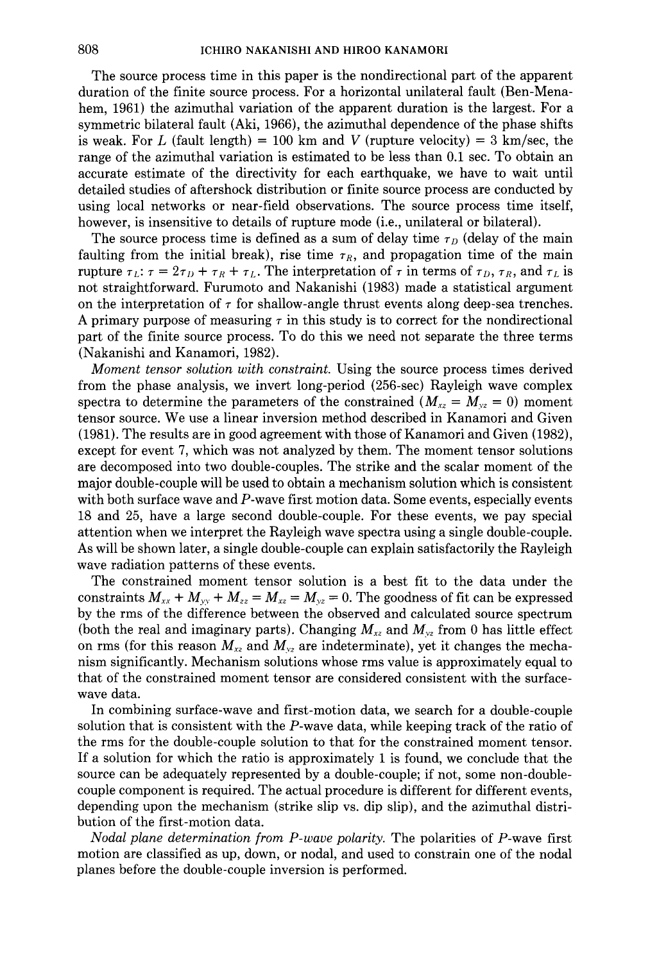The source process time in this paper is the nondirectional part of the apparent duration of the finite source process. For a horizontal unilateral fault (Ben-Menahem, 1961) the azimuthal variation of the apparent duration is the largest. For a symmetric bilateral fault (Aki, 1966), the azimuthal dependence of the phase shifts is weak. For L (fault length) = 100 km and V (rupture velocity) =  $3 \text{ km/sec}$ , the range of the azimuthal variation is estimated to be less than 0.1 sec. To obtain an accurate estimate of the directivity for each earthquake, we have to wait until detailed studies of aftershock distribution or finite source process are conducted by using local networks or near-field observations. The source process time itself, however, is insensitive to details of rupture mode (i.e., unilateral or bilateral).

The source process time is defined as a sum of delay time  $\tau_D$  (delay of the main faulting from the initial break), rise time  $\tau_R$ , and propagation time of the main rupture  $\tau_L$ :  $\tau = 2\tau_D + \tau_R + \tau_L$ . The interpretation of  $\tau$  in terms of  $\tau_D$ ,  $\tau_R$ , and  $\tau_L$  is not straightforward. Furumoto and Nakanishi (1983) made a statistical argument on the interpretation of  $\tau$  for shallow-angle thrust events along deep-sea trenches. A primary purpose of measuring *r* in this study is to correct for the nondirectional part of the finite source process. To do this we need not separate the three terms (Nakanishi and Kanamori, 1982).

*Moment tensor solution with constraint.* Using the source process times derived from the phase analysis, we invert long-period (256-sec) Rayleigh wave complex spectra to determine the parameters of the constrained  $(M_{xz} = M_{yz} = 0)$  moment tensor source. We use a linear inversion method described in Kanamori and Given (1981). The results are in good agreement with those of Kanamori and Given (1982), except for event 7, which was not analyzed by them. The moment tensor solutions are decomposed into two double-couples. The strike and the scalar moment of the major double-couple will be used to obtain a mechanism solution which is consistent with both surface wave and P-wave first motion data. Some events, especially events 18 and 25, have a large second double-couple. For these events, we pay special attention when we interpret the Rayleigh wave spectra using a single double-couple. As will be shown later, a single double-couple can explain satisfactorily the Rayleigh wave radiation patterns of these events.

The constrained moment tensor solution is a best fit to the data under the constraints  $M_{xx} + M_{yy} + M_{zz} = M_{xz} = M_{yz} = 0$ . The goodness of fit can be expressed by the rms of the difference between the observed and calculated source spectrum (both the real and imaginary parts). Changing  $M_{xz}$  and  $M_{yz}$  from 0 has little effect on rms (for this reason  $M_{xz}$  and  $M_{yz}$  are indeterminate), yet it changes the mechanism significantly. Mechanism solutions whose rms value is approximately equal to that of the constrained moment tensor are considered consistent with the surfacewave data.

In combining surface-wave and first-motion data, we search for a double-couple solution that is consistent with the P-wave data, while keeping track of the ratio of the rms for the double-couple solution to that for the constrained moment tensor. If a solution for which the ratio is approximately 1 is found, we conclude that the source can be adequately represented by a double-couple; if not, some non -doublecouple component is required. The actual procedure is different for different events, depending upon the mechanism (strike slip vs. dip slip), and the azimuthal distribution of the first-motion data.

*Nodal plane determination from P-wave polarity.* The polarities of P-wave first motion are classified as up, down, or nodal, and used to constrain one of the nodal planes before the double-couple inversion is performed.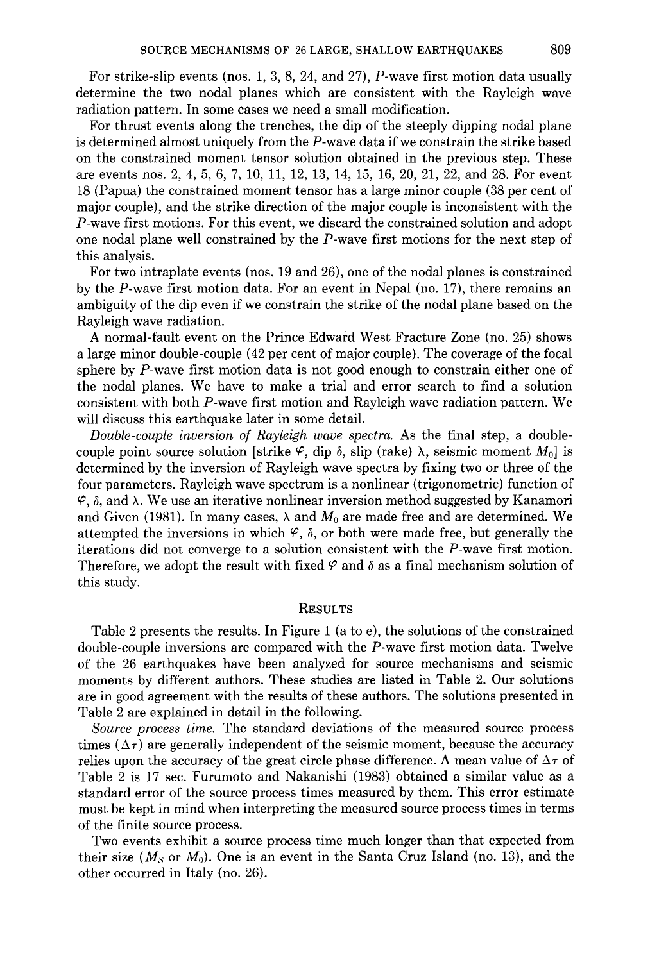For strike-slip events (nos. 1, 3, 8, 24, and 27), P-wave first motion data usually determine the two nodal planes which are consistent with the Rayleigh wave radiation pattern. In some cases we need a small modification.

For thrust events along the trenches, the dip of the steeply dipping nodal plane is determined almost uniquely from the P-wave data if we constrain the strike based on the constrained moment tensor solution obtained in the previous step. These are events nos. 2, 4, 5, 6, 7, 10, 11, 12, 13, 14, 15, 16, 20, 21, 22, and 28. For event 18 (Papua) the constrained moment tensor has a large minor couple (38 per cent of major couple), and the strike direction of the major couple is inconsistent with the P-wave first motions. For this event, we discard the constrained solution and adopt one nodal plane well constrained by the P-wave first motions for the next step of this analysis.

For two intraplate events (nos. 19 and 26), one of the nodal planes is constrained by the P-wave first motion data. For an event in Nepal (no. 17), there remains an ambiguity of the dip even if we constrain the strike of the nodal plane based on the Rayleigh wave radiation.

A normal-fault event on the Prince Edward West Fracture Zone (no. 25) shows a large minor double-couple (42 per cent of major couple). The coverage of the focal sphere by P-wave first motion data is not good enough to constrain either one of the nodal planes. We have to make a trial and error search to find a solution consistent with both P-wave first motion and Rayleigh wave radiation pattern. We will discuss this earthquake later in some detail.

*Double-couple inversion of Rayleigh wave spectra.* As the final step, a doublecouple point source solution [strike  $\varphi$ , dip  $\delta$ , slip (rake)  $\lambda$ , seismic moment  $M_0$ ] is determined by the inversion of Rayleigh wave spectra by fixing two or three of the four parameters. Rayleigh wave spectrum is a nonlinear (trigonometric) function of  $\varphi$ ,  $\delta$ , and  $\lambda$ . We use an iterative nonlinear inversion method suggested by Kanamori and Given (1981). In many cases,  $\lambda$  and  $M_0$  are made free and are determined. We attempted the inversions in which  $\varphi$ ,  $\delta$ , or both were made free, but generally the iterations did not converge to a solution consistent with the P-wave first motion. Therefore, we adopt the result with fixed  $\varphi$  and  $\delta$  as a final mechanism solution of this study.

### **RESULTS**

Table 2 presents the results. In Figure 1 (a to e), the solutions of the constrained double-couple inversions are compared with the P-wave first motion data. Twelve of the 26 earthquakes have been analyzed for source mechanisms and seismic moments by different authors. These studies are listed in Table 2. Our solutions are in good agreement with the results of these authors. The solutions presented in Table 2 are explained in detail in the following.

*Source process time.* The standard deviations of the measured source process times ( $\Delta \tau$ ) are generally independent of the seismic moment, because the accuracy relies upon the accuracy of the great circle phase difference. A mean value of  $\Delta \tau$  of Table 2 is 17 sec. Furumoto and Nakanishi (1983) obtained a similar value as a standard error of the source process times measured by them. This error estimate must be kept in mind when interpreting the measured source process times in terms of the finite source process.

Two events exhibit a source process time much longer than that expected from their size  $(M<sub>S</sub>$  or  $M<sub>0</sub>$ ). One is an event in the Santa Cruz Island (no. 13), and the other occurred in Italy (no. 26).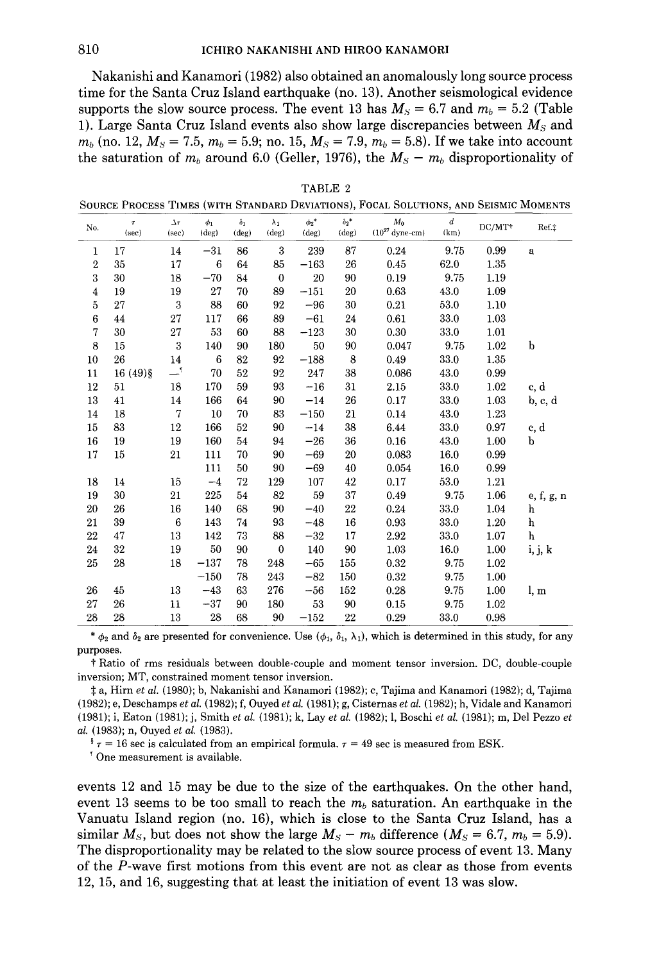Nakanishi and Kanamori (1982) also obtained an anomalously long source process time for the Santa Cruz Island earthquake (no. 13). Another seismological evidence supports the slow source process. The event 13 has  $M_s = 6.7$  and  $m_b = 5.2$  (Table 1). Large Santa Cruz Island events also show large discrepancies between *Ms* and  $m_b$  (no. 12,  $M_s = 7.5$ ,  $m_b = 5.9$ ; no. 15,  $M_s = 7.9$ ,  $m_b = 5.8$ ). If we take into account the saturation of  $m_b$  around 6.0 (Geller, 1976), the  $M_s - m_b$  disproportionality of

| вI |  |
|----|--|
|----|--|

SOURCE PROCESS TIMES (WITH STANDARD DEVIATIONS), FOCAL SOLUTIONS, AND SEISMIC MOMENTS

| No.              | T.<br>(sec) | $\Delta \tau$<br>(sec) | $\phi_1$<br>(deg) | $\delta_1$<br>$(\text{deg})$ | $\lambda_1$<br>$(\text{deg})$ | $\phi_2^*$<br>(deg) | $\delta_2$ *<br>$(\text{deg})$ | $M_0$<br>$(10^{27}$ dyne-cm) | $\boldsymbol{d}$<br>(km) | DC/MT* | Ref.‡        |
|------------------|-------------|------------------------|-------------------|------------------------------|-------------------------------|---------------------|--------------------------------|------------------------------|--------------------------|--------|--------------|
| 1                | 17          | 14                     | $-31$             | 86                           | 3                             | 239                 | 87                             | 0.24                         | 9.75                     | 0.99   | a            |
| $\boldsymbol{2}$ | 35          | 17                     | 6                 | 64                           | 85                            | $-163$              | 26                             | 0.45                         | 62.0                     | 1.35   |              |
| 3                | 30          | 18                     | $-70$             | 84                           | $\theta$                      | 20                  | 90                             | 0.19                         | 9.75                     | 1.19   |              |
| 4                | 19          | 19                     | 27                | 70                           | 89                            | $-151$              | 20                             | 0.63                         | 43.0                     | 1.09   |              |
| 5                | 27          | $\boldsymbol{3}$       | 88                | 60                           | 92                            | $-96$               | 30                             | 0.21                         | 53.0                     | 1.10   |              |
| 6                | 44          | 27                     | 117               | 66                           | 89                            | $-61$               | 24                             | 0.61                         | 33.0                     | 1.03   |              |
| 7                | 30          | 27                     | 53                | 60                           | 88                            | $-123$              | 30                             | 0.30                         | 33.0                     | 1.01   |              |
| 8                | 15          | 3                      | 140               | 90                           | 180                           | 50                  | 90                             | 0.047                        | 9.75                     | 1.02   | b            |
| 10               | 26          | 14                     | 6                 | 82                           | 92                            | $-188$              | $\bf8$                         | 0.49                         | 33.0                     | 1.35   |              |
| 11               | $16(49)$ §  | —「                     | 70                | 52                           | 92                            | 247                 | 38                             | 0.086                        | 43.0                     | 0.99   |              |
| 12               | 51          | 18                     | 170               | 59                           | 93                            | $^{\rm -16}$        | 31                             | 2.15                         | 33.0                     | 1.02   | c, d         |
| 13               | 41          | 14                     | 166               | 64                           | 90                            | $-14$               | 26                             | 0.17                         | 33.0                     | 1.03   | b, c, d      |
| 14               | 18          | $\boldsymbol{7}$       | 10                | 70                           | 83                            | $-150$              | 21                             | 0.14                         | 43.0                     | 1.23   |              |
| 15               | 83          | 12                     | 166               | 52                           | 90                            | $-14$               | 38                             | 6.44                         | 33.0                     | 0.97   | c, d         |
| 16               | 19          | 19                     | 160               | 54                           | 94                            | $-26$               | 36                             | 0.16                         | 43.0                     | 1.00   | b            |
| 17               | 15          | 21                     | 111               | 70                           | 90                            | $-69$               | 20                             | 0.083                        | 16.0                     | 0.99   |              |
|                  |             |                        | 111               | 50                           | 90                            | $-69$               | 40                             | 0.054                        | 16.0                     | 0.99   |              |
| 18               | 14          | 15                     | $-4$              | 72                           | 129                           | 107                 | 42                             | 0.17                         | 53.0                     | 1.21   |              |
| 19               | 30          | 21                     | 225               | 54                           | 82                            | 59                  | 37                             | 0.49                         | 9.75                     | 1.06   | e, f, g, n   |
| 20               | 26          | 16                     | 140               | 68                           | 90                            | $-40$               | 22                             | 0.24                         | 33.0                     | 1.04   | h            |
| 21               | 39          | 6                      | 143               | 74                           | 93                            | $-48$               | 16                             | 0.93                         | 33.0                     | 1.20   | h            |
| 22               | 47          | 13                     | 142               | 73                           | 88                            | $-32$               | 17                             | 2.92                         | 33.0                     | 1.07   | $\mathbf{h}$ |
| 24               | 32          | 19                     | 50                | 90                           | $\theta$                      | 140                 | 90                             | 1.03                         | 16.0                     | 1.00   | i, j, k      |
| 25               | 28          | 18                     | $-137$            | 78                           | 248                           | $-65$               | 155                            | 0.32                         | 9.75                     | 1.02   |              |
|                  |             |                        | $-150$            | 78                           | 243                           | $-82$               | 150                            | 0.32                         | 9.75                     | 1.00   |              |
| 26               | 45          | 13                     | $-43$             | 63                           | 276                           | $-56$               | 152                            | 0.28                         | 9.75                     | 1.00   | l, m         |
| 27               | 26          | 11                     | $-37$             | 90                           | 180                           | 53                  | 90                             | 0.15                         | 9.75                     | 1.02   |              |
| 28               | 28          | 13                     | 28                | 68                           | 90                            | $-152$              | 22                             | 0.29                         | 33.0                     | 0.98   |              |

\*  $\phi_2$  and  $\delta_2$  are presented for convenience. Use  $(\phi_1, \delta_1, \lambda_1)$ , which is determined in this study, for any purposes.

t Ratio of rms residuals between double-couple and moment tensor inversion. DC, double-couple inversion; MT, constrained moment tensor inversion.

:j: a, Hirn *et al.* (1980); b, Nakanishi and Kanamori (1982); c, Tajima and Kanamori (1982); d, Tajima (1982); e, Deschamps *et al.* (1982); f, Ouyed *et al.* (1981); g, Cisternas *et al.* (1982); h, Vidale and Kanamori (1981); i, Eaton (1981); j, Smith *et al.* (1981); k, Lay *et al.* (1982); I, Boschi *et al.* (1981); m, Del Pezzo *et al.* (1983); n, Ouyed *et al.* (1983).

 $\frac{1}{2}$   $\tau$  = 16 sec is calculated from an empirical formula.  $\tau$  = 49 sec is measured from ESK.

' One measurement is available.

events 12 and 15 may be due to the size of the earthquakes. On the other hand, event 13 seems to be too small to reach the  $m_b$  saturation. An earthquake in the Vanuatu Island region (no. 16), which is close to the Santa Cruz Island, has a similar  $M_s$ , but does not show the large  $M_s - m_b$  difference  $(M_s = 6.7, m_b = 5.9)$ . The disproportionality may be related to the slow source process of event 13. Many of the P-wave first motions from this event are not as clear as those from events 12, 15, and 16, suggesting that at least the initiation of event 13 was slow.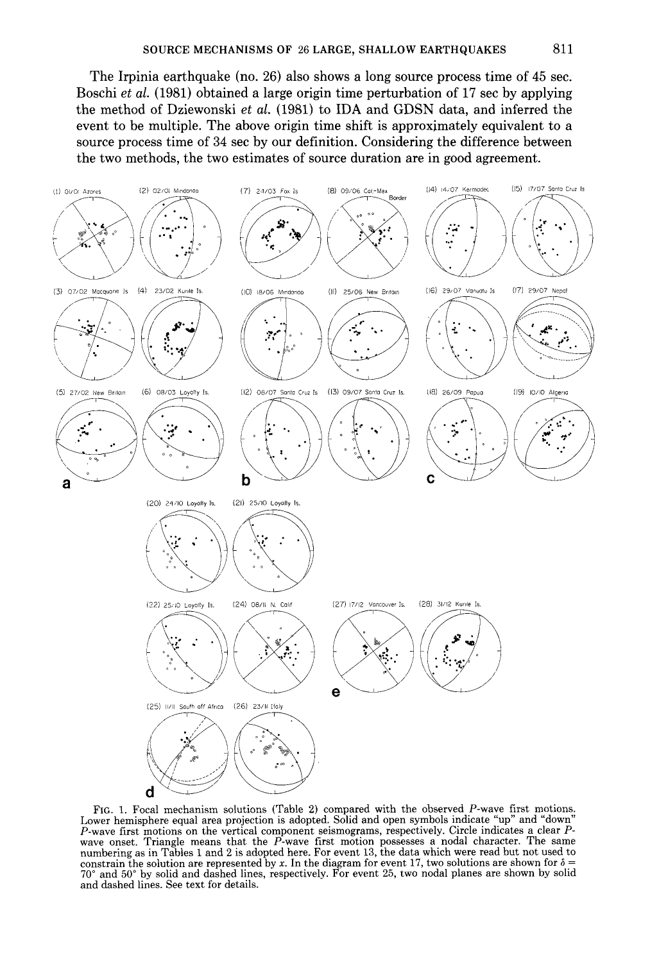The Irpinia earthquake (no. 26) also shows a long source process time of 45 sec. Boschi *et al.* (1981) obtained a large origin time perturbation of 17 sec by applying the method of Dziewonski *et al.* (1981) to IDA and GDSN data, and inferred the event to be multiple. The above origin time shift is approxjmately equivalent to a source process time of 34 sec by our definition. Considering the difference between the two methods, the two estimates of source duration are in good agreement.



FIG. 1. Focal mechanism solutions (Table 2) compared with the observed P-wave first motions. Lower hemisphere equal area projection is adopted. Solid and open symbols indicate "up" and "down"<br>P-wave first motions on the vertical component seismograms, respectively. Circle indicates a clear P-The same must moving means that the P-wave first motion possesses a nodal character. The same<br>numbering as in Tables 1 and 2 is adopted here. For event 13, the data which were read but not used to constrain the solution are represented by x. In the diagram for event 17, two solutions are shown for  $\delta$  = 70° and 50° by solid and dashed lines, respectively. For event 25, two nodal planes are shown by solid and dashed lines. See text for details.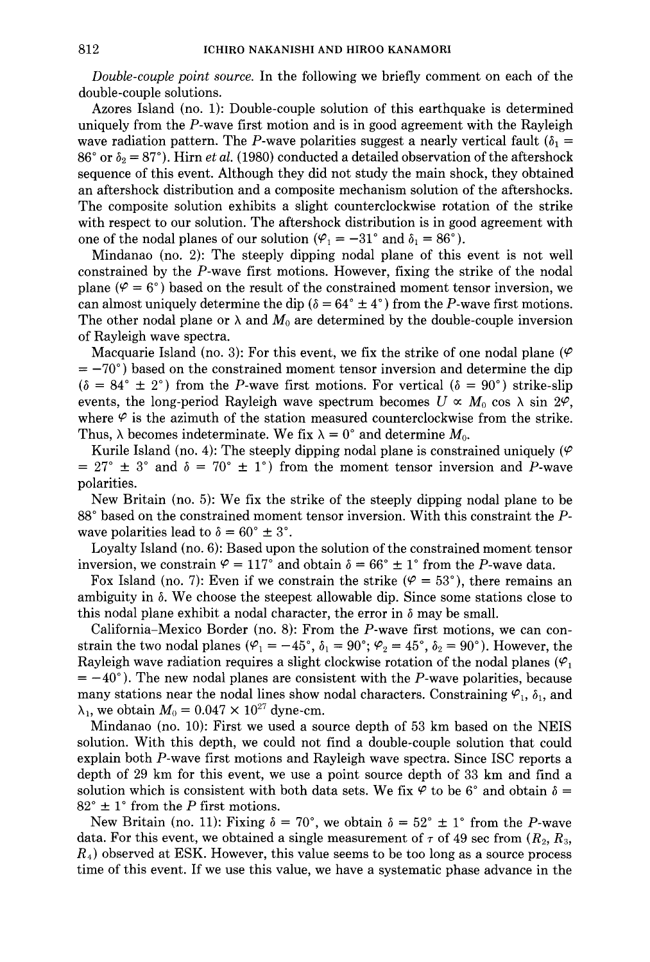*Double-couple point source.* In the following we briefly comment on each of the double-couple solutions.

Azores Island (no. 1): Double-couple solution of this earthquake is determined uniquely from the P-wave first motion and is in good agreement with the Rayleigh wave radiation pattern. The P-wave polarities suggest a nearly vertical fault ( $\delta_1$  = 86° or  $\delta_2$  = 87°). Hirn *et al.* (1980) conducted a detailed observation of the aftershock sequence of this event. Although they did not study the main shock, they obtained an aftershock distribution and a composite mechanism solution of the aftershocks. The composite solution exhibits a slight counterclockwise rotation of the strike with respect to our solution. The aftershock distribution is in good agreement with one of the nodal planes of our solution  $(\varphi_1 = -31^\circ \text{ and } \delta_1 = 86^\circ)$ .

Mindanao (no. 2): The steeply dipping nodal plane of this event is not well constrained by the P-wave first motions. However, fixing the strike of the nodal plane ( $\varphi = 6^{\circ}$ ) based on the result of the constrained moment tensor inversion, we can almost uniquely determine the dip ( $\delta = 64^{\circ} \pm 4^{\circ}$ ) from the P-wave first motions. The other nodal plane or  $\lambda$  and  $M_0$  are determined by the double-couple inversion of Rayleigh wave spectra.

Macquarie Island (no. 3): For this event, we fix the strike of one nodal plane ( $\varphi$ )  $= -70^{\circ}$ ) based on the constrained moment tensor inversion and determine the dip  $(\delta = 84^{\circ} \pm 2^{\circ})$  from the P-wave first motions. For vertical  $(\delta = 90^{\circ})$  strike-slip events, the long-period Rayleigh wave spectrum becomes  $U \propto M_0 \cos \lambda \sin 2\varphi$ , where  $\varphi$  is the azimuth of the station measured counterclockwise from the strike. Thus,  $\lambda$  becomes indeterminate. We fix  $\lambda = 0^{\circ}$  and determine  $M_0$ .

Kurile Island (no. 4): The steeply dipping nodal plane is constrained uniquely ( $\varphi$ )  $= 27^{\circ} \pm 3^{\circ}$  and  $\delta = 70^{\circ} \pm 1^{\circ}$  from the moment tensor inversion and P-wave polarities.

New Britain (no. 5): We fix the strike of the steeply dipping nodal plane to be 88° based on the constrained moment tensor inversion. With this constraint the Pwave polarities lead to  $\delta = 60^{\circ} \pm 3^{\circ}$ .

Loyalty Island (no. 6): Based upon the solution of the constrained moment tensor inversion, we constrain  $\varphi = 117^\circ$  and obtain  $\delta = 66^\circ \pm 1^\circ$  from the P-wave data.

Fox Island (no. 7): Even if we constrain the strike ( $\varphi = 53^{\circ}$ ), there remains an ambiguity in  $\delta$ . We choose the steepest allowable dip. Since some stations close to this nodal plane exhibit a nodal character, the error in  $\delta$  may be small.

California-Mexico Border (no. 8): From the P-wave first motions, we can constrain the two nodal planes ( $\varphi_1 = -45^\circ$ ,  $\delta_1 = 90^\circ$ ;  $\varphi_2 = 45^\circ$ ,  $\delta_2 = 90^\circ$ ). However, the Rayleigh wave radiation requires a slight clockwise rotation of the nodal planes ( $\varphi_1$ )  $= -40^{\circ}$ ). The new nodal planes are consistent with the P-wave polarities, because many stations near the nodal lines show nodal characters. Constraining  $\varphi_1$ ,  $\delta_1$ , and  $\lambda_1$ , we obtain  $M_0 = 0.047 \times 10^{27}$  dyne-cm.

Mindanao (no. 10): First we used a source depth of 53 km based on the NElS solution. With this depth, we could not find a double-couple solution that could explain both P-wave first motions and Rayleigh wave spectra. Since ISC reports a depth of 29 km for this event, we use a point source depth of 33 km and find a solution which is consistent with both data sets. We fix  $\varphi$  to be 6° and obtain  $\delta$  =  $82^\circ \pm 1^\circ$  from the *P* first motions.

New Britain (no. 11): Fixing  $\delta = 70^{\circ}$ , we obtain  $\delta = 52^{\circ} \pm 1^{\circ}$  from the *P*-wave data. For this event, we obtained a single measurement of  $\tau$  of 49 sec from  $(R_2, R_3, R_4)$ *R4 )* observed at ESK. However, this value seems to be too long as a source process time of this event. If we use this value, we have a systematic phase advance in the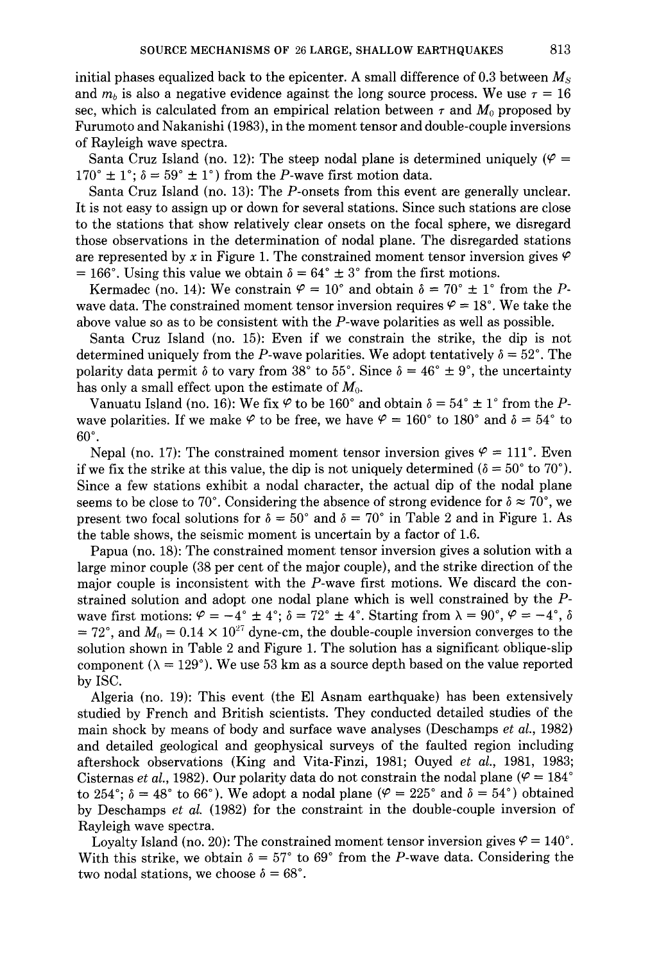initial phases equalized back to the epicenter. A small difference of 0.3 between *Ms*  and  $m_b$  is also a negative evidence against the long source process. We use  $\tau = 16$ sec, which is calculated from an empirical relation between  $\tau$  and  $M_0$  proposed by Furumoto and Nakanishi (1g83), in the moment tensor and double-couple inversions of Rayleigh wave spectra.

Santa Cruz Island (no. 12): The steep nodal plane is determined uniquely ( $\varphi =$  $170^{\circ} \pm 1^{\circ}$ ;  $\delta = 59^{\circ} \pm 1^{\circ}$ ) from the *P*-wave first motion data.

Santa Cruz Island (no. 13): The P-onsets from this event are generally unclear. It is not easy to assign up or down for several stations. Since such stations are close to the stations that show relatively clear onsets on the focal sphere, we disregard those observations in the determination of nodal plane. The disregarded stations are represented by x in Figure 1. The constrained moment tensor inversion gives  $\varphi$  $= 166^{\circ}$ . Using this value we obtain  $\delta = 64^{\circ} \pm 3^{\circ}$  from the first motions.

Kermadec (no. 14): We constrain  $\varphi = 10^{\circ}$  and obtain  $\delta = 70^{\circ} \pm 1^{\circ}$  from the Pwave data. The constrained moment tensor inversion requires  $\varphi = 18^{\circ}$ . We take the above value so as to be consistent with the  $P$ -wave polarities as well as possible.

Santa Cruz Island (no. 15): Even if we constrain the strike, the dip is not determined uniquely from the P-wave polarities. We adopt tentatively  $\delta = 52^{\circ}$ . The polarity data permit  $\delta$  to vary from 38° to 55°. Since  $\delta = 46^{\circ} \pm 9^{\circ}$ , the uncertainty has only a small effect upon the estimate of  $M_{0}$ .

Vanuatu Island (no. 16): We fix  $\varphi$  to be 160° and obtain  $\delta = 54^\circ \pm 1^\circ$  from the *P*wave polarities. If we make  $\varphi$  to be free, we have  $\varphi = 160^{\circ}$  to 180° and  $\delta = 54^{\circ}$  to 60°.

Nepal (no. 17): The constrained moment tensor inversion gives  $\varphi = 111^{\circ}$ . Even if we fix the strike at this value, the dip is not uniquely determined ( $\delta = 50^{\circ}$  to 70°). Since a few stations exhibit a nodal character, the actual dip of the nodal plane seems to be close to 70°. Considering the absence of strong evidence for  $\delta \approx 70^{\circ}$ , we present two focal solutions for  $\delta = 50^{\circ}$  and  $\delta = 70^{\circ}$  in Table 2 and in Figure 1. As the table shows, the seismic moment is uncertain by a factor of 1.6.

Papua (no. 18): The constrained moment tensor inversion gives a solution with a large minor couple (38 per cent of the major couple), and the strike direction of the major couple is inconsistent with the P-wave first motions. We discard the constrained solution and adopt one nodal plane which is well constrained by the *P*wave first motions:  $\varphi = -4^{\circ} \pm 4^{\circ}$ ;  $\delta = 72^{\circ} \pm 4^{\circ}$ . Starting from  $\lambda = 90^{\circ}$ ,  $\varphi = -4^{\circ}$ ,  $\delta$ = 72°, and  $M_0 = 0.14 \times 10^{27}$  dyne-cm, the double-couple inversion converges to the solution shown in Table 2 and Figure 1. The solution has a significant oblique-slip component ( $\lambda = 129^{\circ}$ ). We use 53 km as a source depth based on the value reported by ISC.

Algeria (no. 1g): This event (the El Asnam earthquake) has been extensively studied by French and British scientists. They conducted detailed studies of the main shock by means of body and surface wave analyses (Deschamps *et al.,* 1g82) and detailed geological and geophysical surveys of the faulted region including aftershock observations (King and Vita-Finzi, 1981; Ouyed *et al.,* 1g81, 1g83; Cisternas *et al.*, 1982). Our polarity data do not constrain the nodal plane ( $\varphi = 184^\circ$ ) to 254<sup>°</sup>;  $\delta = 48^\circ$  to 66<sup>°</sup>). We adopt a nodal plane ( $\varphi = 225^\circ$  and  $\delta = 54^\circ$ ) obtained by Deschamps *et al.* (1g82) for the constraint in the double-couple inversion of Rayleigh wave spectra.

Loyalty Island (no. 20): The constrained moment tensor inversion gives  $\varphi = 140^{\circ}$ . With this strike, we obtain  $\delta = 57^{\circ}$  to 69° from the P-wave data. Considering the two nodal stations, we choose  $\delta = 68^{\circ}$ .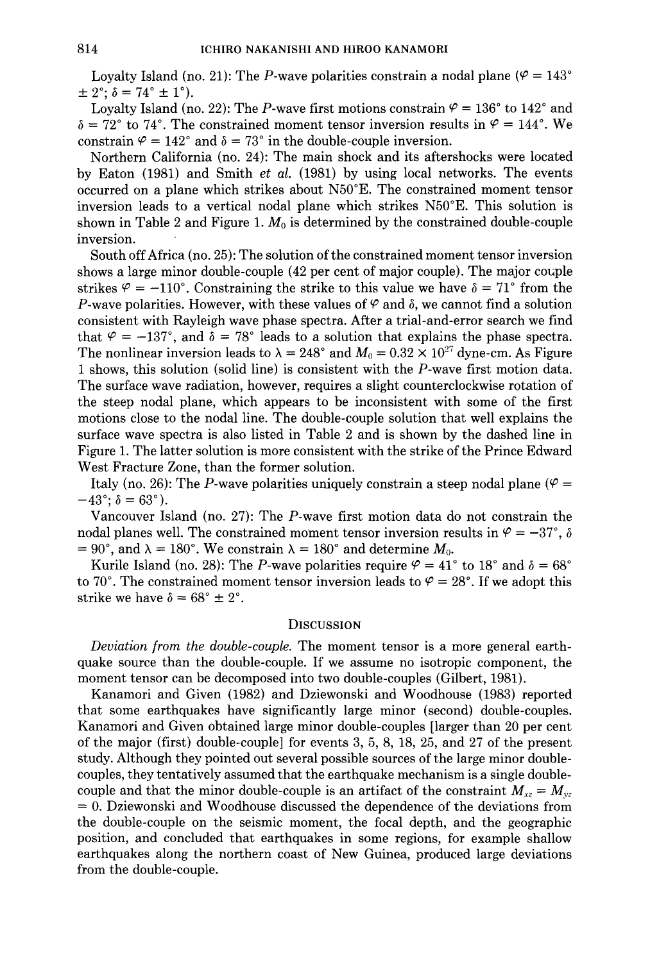Loyalty Island (no. 21): The P-wave polarities constrain a nodal plane ( $\varphi = 143^{\circ}$  $\pm 2^{\circ}$ ;  $\delta = 74^{\circ} \pm 1^{\circ}$ ).

Loyalty Island (no. 22): The P-wave first motions constrain  $\varphi = 136^{\circ}$  to 142° and  $\delta = 72^{\circ}$  to 74°. The constrained moment tensor inversion results in  $\varphi = 144^{\circ}$ . We constrain  $\varphi = 142^{\circ}$  and  $\delta = 73^{\circ}$  in the double-couple inversion.

Northern California (no. 24): The main shock and its aftershocks were located by Eaton (1981) and Smith *et al.* (1981) by using local networks. The events occurred on a plane which strikes about N50°E. The constrained moment tensor inversion leads to a vertical nodal plane which strikes N50°E. This solution is shown in Table 2 and Figure 1. M*0* is determined by the constrained double-couple inversion.

South off Africa (no. 25): The solution of the constrained moment tensor inversion shows a large minor double-couple  $(42 \text{ per cent of major couple})$ . The major couple strikes  $\varphi = -110^{\circ}$ . Constraining the strike to this value we have  $\delta = 71^{\circ}$  from the P-wave polarities. However, with these values of  $\varphi$  and  $\delta$ , we cannot find a solution consistent with Rayleigh wave phase spectra. After a trial-and-error search we find that  $\varphi = -137^{\circ}$ , and  $\delta = 78^{\circ}$  leads to a solution that explains the phase spectra. The nonlinear inversion leads to  $\lambda = 248^{\circ}$  and  $M_0 = 0.32 \times 10^{27}$  dyne-cm. As Figure 1 shows, this solution (solid line) is consistent with the P-wave first motion data. The surface wave radiation, however, requires a slight counterclockwise rotation of the steep nodal plane, which appears to be inconsistent with some of the first motions close to the nodal line. The double-couple solution that well explains the surface wave spectra is also listed in Table 2 and is shown by the dashed line in Figure 1. The latter solution is more consistent with the strike of the Prince Edward West Fracture Zone, than the former solution.

Italy (no. 26): The P-wave polarities uniquely constrain a steep nodal plane ( $\varphi$  =  $-43^{\circ}$ ;  $\delta = 63^{\circ}$ ).

Vancouver Island (no. 27): The P-wave first motion data do not constrain the nodal planes well. The constrained moment tensor inversion results in  $\mathcal{S} = -37^{\circ}$ ,  $\delta$  $= 90^{\circ}$ , and  $\lambda = 180^{\circ}$ . We constrain  $\lambda = 180^{\circ}$  and determine  $M_0$ .

Kurile Island (no. 28): The P-wave polarities require  $\varphi = 41^{\circ}$  to 18° and  $\delta = 68^{\circ}$ to 70°. The constrained moment tensor inversion leads to  $\varphi = 28^{\circ}$ . If we adopt this strike we have  $\delta = 68^{\circ} \pm 2^{\circ}$ .

#### **DISCUSSION**

*Deviation from the double-couple.* The moment tensor is a more general earthquake source than the double-couple. If we assume no isotropic component, the moment tensor can be decomposed into two double-couples (Gilbert, 1981).

Kanamori and Given (1982) and Dziewonski and Woodhouse (1983) reported that some earthquakes have significantly large minor (second) double-couples. Kanamori and Given obtained large minor double-couples [larger than 20 per cent of the major (first) double-couple] for events 3, 5, 8, 18, 25, and 27 of the present study. Although they pointed out several possible sources of the large minor doublecouples, they tentatively assumed that the earthquake mechanism is a single doublecouple and that the minor double-couple is an artifact of the constraint  $M_{xz} = M_{yz}$  $= 0$ . Dziewonski and Woodhouse discussed the dependence of the deviations from the double-couple on the seismic moment, the focal depth, and the geographic position, and concluded that earthquakes in some regions, for example shallow earthquakes along the northern coast of New Guinea, produced large deviations from the double-couple.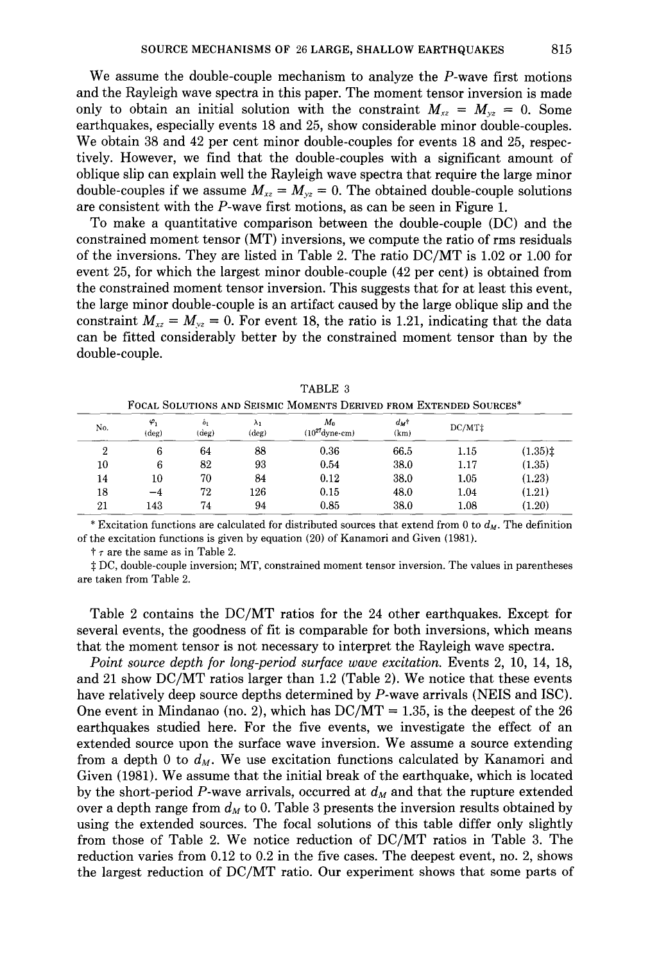We assume the double-couple mechanism to analyze the P-wave first motions and the Rayleigh wave spectra in this paper. The moment tensor inversion is made only to obtain an initial solution with the constraint  $M_{xz} = M_{yz} = 0$ . Some earthquakes, especially events 18 and 25, show considerable minor double-couples. We obtain 38 and 42 per cent minor double-couples for events 18 and 25, respectively. However, we find that the double-couples with a significant amount of oblique slip can explain well the Rayleigh wave spectra that require the large minor double-couples if we assume  $M_{xz} = M_{yz} = 0$ . The obtained double-couple solutions are consistent with the P-wave first motions, as can be seen in Figure 1.

To make a quantitative comparison between the double-couple (DC) and the constrained moment tensor (MT) inversions, we compute the ratio of rms residuals of the inversions. They are listed in Table 2. The ratio DC/MT is 1.02 or 1.00 for event 25, for which the largest minor double-couple (42 per cent) is obtained from the constrained moment tensor inversion. This suggests that for at least this event, the large minor double-couple is an artifact caused by the large oblique slip and the constraint  $M_{xz} = M_{yz} = 0$ . For event 18, the ratio is 1.21, indicating that the data can be fitted considerably better by the constrained moment tensor than by the double-couple.

|        |                               |                        |                      | FOCAL SOLUTIONS AND SEISMIC MOMENTS DERIVED FROM EXTENDED SOURCES" |                 |                 |                                           |
|--------|-------------------------------|------------------------|----------------------|--------------------------------------------------------------------|-----------------|-----------------|-------------------------------------------|
| No.    | $\varphi_1$<br>$(\text{deg})$ | $\delta_1$<br>$(\deg)$ | λ,<br>$(\text{deg})$ | M٥<br>$(10^{27}$ dyne-cm)                                          | $d_M$ t<br>(km) | $DC/MT\ddagger$ |                                           |
| 2      | 6                             | 64                     | 88                   | 0.36                                                               | 66.5            | 1.15            | $(1.35)$ <sup><math>\ddagger</math></sup> |
| $10\,$ | 6                             | 82                     | 93                   | 0.54                                                               | 38.0            | 1.17            | (1.35)                                    |
| 14     | 10                            | 70                     | 84                   | 0.12                                                               | 38.0            | 1.05            | (1.23)                                    |
| 18     | $-4$                          | 72                     | 126                  | 0.15                                                               | 48.0            | 1.04            | (1.21)                                    |
| 21     | 143                           | 74                     | 94                   | 0.85                                                               | 38.0            | 1.08            | (1.20)                                    |

TABLE 3 FOCAL SOLUTIONS AND SEISMIC MOMENTS DERIVED FROM EXTENDED SOURCES\*

\* Excitation functions are calculated for distributed sources that extend from 0 to  $d_M$ . The definition of the excitation functions is given by equation (20) of Kanamori and Given (1981).

t *r* are the same as in Table 2.

:j: DC, double-couple inversion; MT, constrained moment tensor inversion. The values in parentheses are taken from Table 2.

Table 2 contains the DC/MT ratios for the 24 other earthquakes. Except for several events, the goodness of fit is comparable for both inversions, which means that the moment tensor is not necessary to interpret the Rayleigh wave spectra.

*Point source depth for long-period surface wave excitation.* Events 2, 10, 14, 18, and 21 show DC/MT ratios larger than 1.2 (Table 2). We notice that these events have relatively deep source depths determined by P-wave arrivals (NEIS and ISC). One event in Mindanao (no. 2), which has  $DC/MT = 1.35$ , is the deepest of the 26 earthquakes studied here. For the five events, we investigate the effect of an extended source upon the surface wave inversion. We assume a source extending from a depth 0 to  $d_M$ . We use excitation functions calculated by Kanamori and Given (1981). We assume that the initial break of the earthquake, which is located by the short-period P-wave arrivals, occurred at  $d_M$  and that the rupture extended over a depth range from  $d_M$  to 0. Table 3 presents the inversion results obtained by using the extended sources. The focal solutions of this table differ only slightly from those of Table 2. We notice reduction of DC/MT ratios in Table 3. The reduction varies from 0.12 to 0.2 in the five cases. The deepest event, no. 2, shows the largest reduction of DC/MT ratio. Our experiment shows that some parts of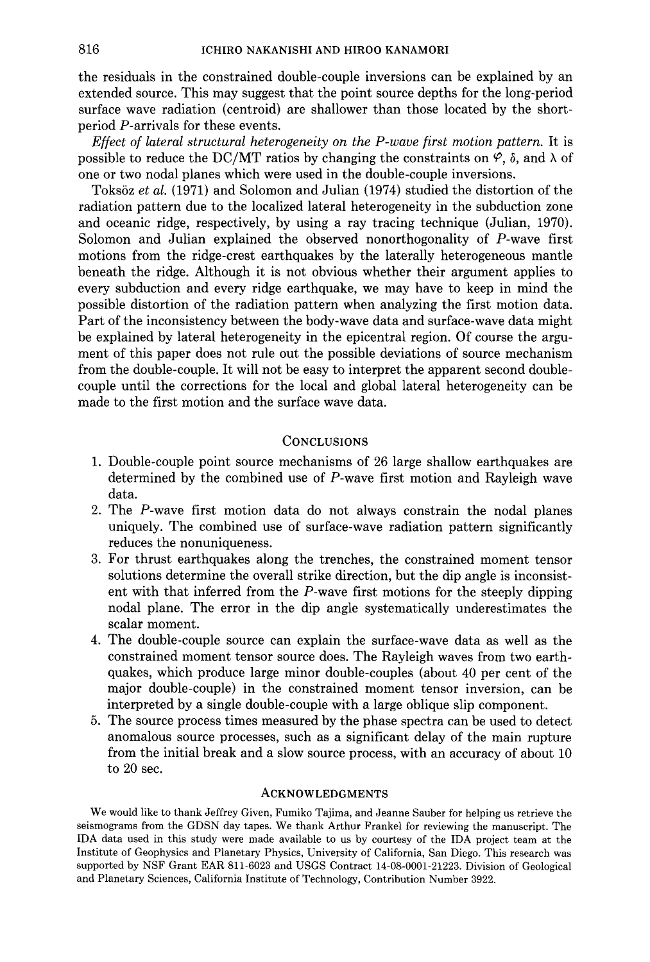the residuals in the constrained double-couple inversions can be explained by an extended source. This may suggest that the point source depths for the long-period surface wave radiation (centroid) are shallower than those located by the shortperiod P-arrivals for these events.

*Effect of lateral structural heterogeneity on the P-wave first motion pattern.* It is possible to reduce the DC/MT ratios by changing the constraints on  $\varphi$ ,  $\delta$ , and  $\lambda$  of one or two nodal planes which were used in the double-couple inversions.

Toksöz *et al.* (1971) and Solomon and Julian (1974) studied the distortion of the radiation pattern due to the localized lateral heterogeneity in the subduction zone and oceanic ridge, respectively, by using a ray tracing technique (Julian, 1970). Solomon and Julian explained the observed nonorthogonality of P-wave first motions from the ridge-crest earthquakes by the laterally heterogeneous mantle beneath the ridge. Although it is not obvious whether their argument applies to every subduction and every ridge earthquake, we may have to keep in mind the possible distortion of the radiation pattern when analyzing the first motion data. Part of the inconsistency between the body-wave data and surface-wave data might be explained by lateral heterogeneity in the epicentral region. Of course the argument of this paper does not rule out the possible deviations of source mechanism from the double-couple. It will not be easy to interpret the apparent second doublecouple until the corrections for the local and global lateral heterogeneity can be made to the first motion and the surface wave data.

## **CONCLUSIONS**

- 1. Double-couple point source mechanisms of 26 large shallow earthquakes are determined by the combined use of  $P$ -wave first motion and Rayleigh wave data.
- 2. The P-wave first motion data do not always constrain the nodal planes uniquely. The combined use of surface-wave radiation pattern significantly reduces the nonuniqueness.
- 3. For thrust earthquakes along the trenches, the constrained moment tensor solutions determine the overall strike direction, but the dip angle is inconsistent with that inferred from the P-wave first motions for the steeply dipping nodal plane. The error in the dip angle systematically underestimates the scalar moment.
- 4. The double-couple source can explain the surface-wave data as well as the constrained moment tensor source does. The Rayleigh waves from two earthquakes, which produce large minor double-couples (about 40 per cent of the major double-couple) in the constrained moment tensor inversion, can be interpreted by a single double-couple with a large oblique slip component.
- 5. The source process times measured by the phase spectra can be used to detect anomalous source processes, such as a significant delay of the main rupture from the initial break and a slow source process, with an accuracy of about 10 to 20 sec.

### ACKNOWLEDGMENTS

We would like to thank Jeffrey Given, Fumiko Tajima, and Jeanne Sauber for helping us retrieve the seismograms from the GDSN day tapes. We thank Arthur Frankel for reviewing the manuscript. The IDA data used in this study were made available to us by courtesy of the IDA project team at the Institute of Geophysics and Planetary Physics, University of California, San Diego. This research was supported by NSF Grant EAR 811-6023 and USGS Contract 14-08-0001-21223. Division of Geological and Planetary Sciences, California Institute of Technology, Contribution Number 3922.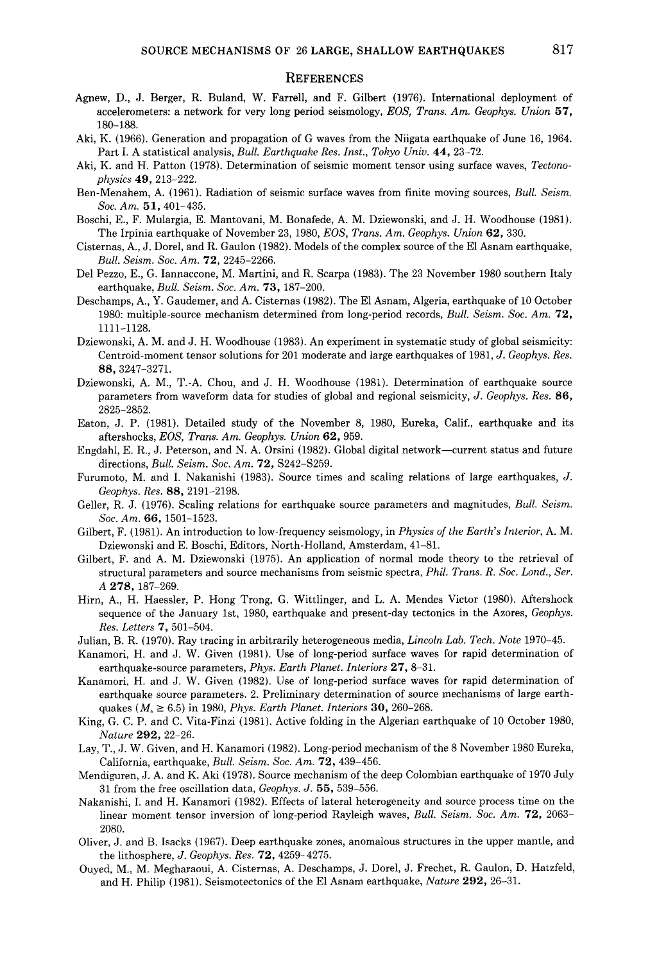#### **REFERENCES**

- Agnew, D., J. Berger, R. Buland, W. Farrell, and F. Gilbert (1976). International deployment of accelerometers: a network for very long period seismology, *EOS, Trans. Am. Geophys. Union* 57, 180-188.
- Aki, K. (1966). Generation and propagation of G waves from the Niigata earthquake of June 16, 1964. Part I. A statistical analysis, *Bull. Earthquake Res. Inst., Tokyo Univ.* 44, 23-72.
- Aki, K. and H. Patton (1978). Determination of seismic moment tensor using surface waves, *Tectonophysics* 49, 213-222.
- Ben-Menahem, A. (1961). Radiation of seismic surface waves from finite moving sources, *Bull. Seism. Soc. Am.* 51,401-435.
- Boschi, E., F. Mulargia, E. Mantovani, M. Bonafede, A.M. Dziewonski, and J. H. Woodhouse (1981). The Irpinia earthquake of November 23, 1980, *EOS, Trans. Am. Geophys. Union* 62, 330.
- Cisternas, A., J. Dorel, and R. Gaulon (1982). Models of the complex source of the El Asnam earthquake, *Bull. Seism. Soc. Am.* 72, 2245-2266.
- Del Pezzo, E., G. Iannaccone, M. Martini, and R. Scarpa (1983). The 23 November 1980 southern Italy earthquake, *Bull. Seism. Soc. Am.* 73, 187-200.
- Deschamps, A., Y. Gaudemer, and A. Cisternas (1982). TheEl Asnam, Algeria, earthquake of 10 October 1980: multiple-source mechanism determined from long-period records, *Bull. Seism. Soc. Am.* 72, 1111-1128.
- Dziewonski, A.M. and J. H. Woodhouse (1983). An experiment in systematic study of global seismicity: Centroid-moment tensor solutions for 201 moderate and large earthquakes of 1981, J. *Geophys. Res.*  88, 3247-3271.
- Dziewonski, A. M., T.-A. Chou, and J. H. Woodhouse (1981). Determination of earthquake source parameters from waveform data for studies of global and regional seismicity, J. *Geophys. Res.* 86, 2825-2852.
- Eaton, J. P. (1981). Detailed study of the November 8, 1980, Eureka, Calif., earthquake and its aftershocks, *EOS, Trans. Am. Geophys. Union* 62, 959.
- Engdahl, E. R., J. Peterson, and N. A. Orsini (1982). Global digital network-current status and future directions, *Bull. Seism. Soc. Am.* 72, S242-S259.
- Furumoto, M. and I. Nakanishi (1983). Source times and scaling relations of large earthquakes, *J. Geophys. Res.* 88, 2191-2198.
- Geller, R. J. (1976). Scaling relations for earthquake source parameters and magnitudes, *Bull. Seism. Soc. Am.* 66, 1501-1523.
- Gilbert, F. ( 1981). An introduction to low-frequency seismology, in *Physics of the Earth's Interior,* A. M. Dziewonski and E. Boschi, Editors, North-Holland, Amsterdam, 41-81.
- Gilbert, F. and A. M. Dziewonski (1975). An application of normal mode theory to the retrieval of structural parameters and source mechanisms from seismic spectra, *Phil. Trans. R. Soc. Land., Ser. A* 278, 187-269.
- Hirn, A., H. Haessler, P. Hong Trong, G. Wittlinger, and L. A. Mendes Victor (1980). Aftershock sequence of the January 1st, 1980, earthquake and present-day tectonics in the Azores, *Geophys. Res. Letters* 7, 501-504.
- Julian, B. R. (1970). Ray tracing in arbitrarily heterogeneous media, *Lincoln Lab. Tech. Note* 1970-45.
- Kanamori, H. and J. W. Given (1981). Use of long-period surface waves for rapid determination of earthquake-source parameters, *Phys. Earth Planet. Interiors* 27, 8-31.
- Kanamori, H. and J. W. Given (1982). Use of long-period surface waves for rapid determination of earthquake source parameters. 2. Preliminary determination of source mechanisms of large earthquakes (M,, 2: 6.5) in 1980, *Phys. Earth Planet. Interiors* 30, 260-268.
- King, G. C. P. and C. Vita-Finzi (1981). Active folding in the Algerian earthquake of 10 October 1980, *Nature* 292, 22-26.
- Lay, T., J. W. Given, and H. Kanamori (1982). Long-period mechanism of the 8 November 1980 Eureka, California, earthquake, *Bull. Seism. Soc. Am.* 72, 439-456.
- Mendiguren, J. A. and K. Aki (1978). Source mechanism of the deep Colombian earthquake of 1970 July 31 from the free oscillation data, *Geophys.* J. 55, 539-556.
- Nakanishi, I. and H. Kanamori (1982). Effects of lateral heterogeneity and source process time on the linear moment tensor inversion of long-period Rayleigh waves, *Bull. Seism. Soc. Am.* 72, 2063- 2080.
- Oliver, J. and B. Isacks (1967). Deep earthquake zones, anomalous structures in the upper mantle, and the lithosphere, J. *Geophys. Res.* 72, 4259-4275.
- Ouyed, M., M. Megharaoui, A. Cisternas, A. Deschamps, J. Dorel, J. Frechet, R. Gaulon, D. Hatzfeld, and H. Philip (1981). Seismotectonics of the El Asnam earthquake, *Nature* 292, 26-31.